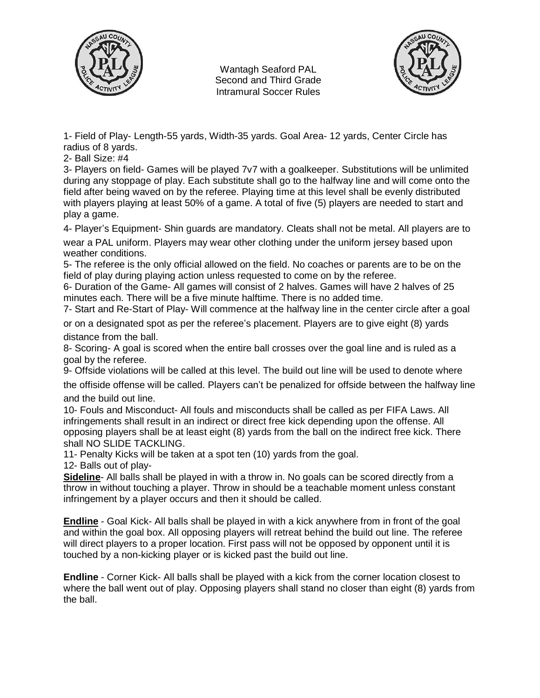

Wantagh Seaford PAL Second and Third Grade Intramural Soccer Rules



1- Field of Play- Length-55 yards, Width-35 yards. Goal Area- 12 yards, Center Circle has radius of 8 yards.

2- Ball Size: #4

3- Players on field- Games will be played 7v7 with a goalkeeper. Substitutions will be unlimited during any stoppage of play. Each substitute shall go to the halfway line and will come onto the field after being waved on by the referee. Playing time at this level shall be evenly distributed with players playing at least 50% of a game. A total of five (5) players are needed to start and play a game.

4- Player's Equipment- Shin guards are mandatory. Cleats shall not be metal. All players are to

wear a PAL uniform. Players may wear other clothing under the uniform jersey based upon weather conditions.

5- The referee is the only official allowed on the field. No coaches or parents are to be on the field of play during playing action unless requested to come on by the referee.

6- Duration of the Game- All games will consist of 2 halves. Games will have 2 halves of 25 minutes each. There will be a five minute halftime. There is no added time.

7- Start and Re-Start of Play- Will commence at the halfway line in the center circle after a goal

or on a designated spot as per the referee's placement. Players are to give eight (8) yards distance from the ball.

8- Scoring- A goal is scored when the entire ball crosses over the goal line and is ruled as a goal by the referee.

9- Offside violations will be called at this level. The build out line will be used to denote where

the offiside offense will be called. Players can't be penalized for offside between the halfway line and the build out line.

10- Fouls and Misconduct- All fouls and misconducts shall be called as per FIFA Laws. All infringements shall result in an indirect or direct free kick depending upon the offense. All opposing players shall be at least eight (8) yards from the ball on the indirect free kick. There shall NO SLIDE TACKLING.

11- Penalty Kicks will be taken at a spot ten (10) yards from the goal.

12- Balls out of play-

**Sideline**- All balls shall be played in with a throw in. No goals can be scored directly from a throw in without touching a player. Throw in should be a teachable moment unless constant infringement by a player occurs and then it should be called.

**Endline** - Goal Kick- All balls shall be played in with a kick anywhere from in front of the goal and within the goal box. All opposing players will retreat behind the build out line. The referee will direct players to a proper location. First pass will not be opposed by opponent until it is touched by a non-kicking player or is kicked past the build out line.

**Endline** - Corner Kick- All balls shall be played with a kick from the corner location closest to where the ball went out of play. Opposing players shall stand no closer than eight (8) yards from the ball.